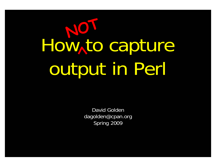#### How to capture output in Perl **NOT**

David Goldendagolden@cpan.org Spring 2009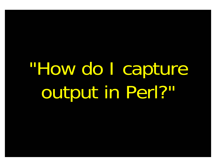# "How do I capture output in Perl?"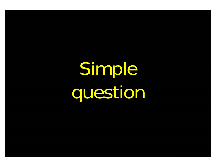Simple question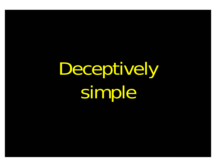Deceptively simple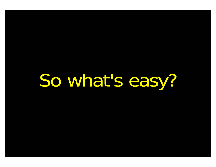So what's easy?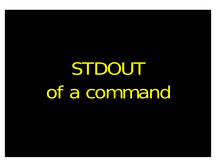### STDOUT of a command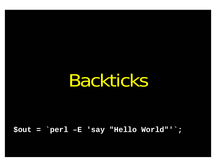Backticks

 $\texttt{Sout} = \texttt{Perl} - \texttt{E}$  'say "Hello World"';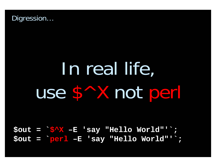

## In real life, use \$^X not perl

 $Sout = S^X - E$  'say "Hello World"'; \$out = perl -E 'say "Hello World"';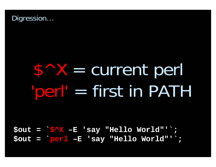

#### $S \wedge X =$  current perl "perl" = first in PATH

 $Sout = S^X - E$  'say "Hello World"'; \$out = perl -E 'say "Hello World"';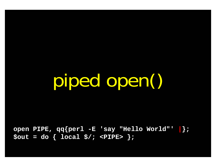piped open()

**open PIPE, qq{perl -E 'say "Hello World"' |}; \$out = do { local \$/; <PIPE> };**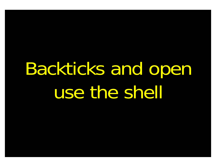#### Backticks and open use the shell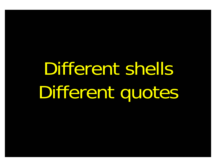## Different shells Different quotes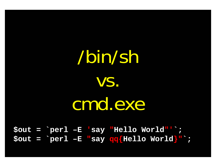/bin/sh vs. cmd.exe

**\$out = `perl –E 'say "Hello World"'`; \$out = `perl –E "say qq{Hello World}"`;**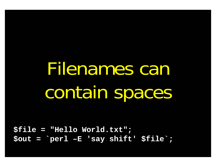Filenames can contain spaces

**\$file = "Hello World.txt"; \$out = `perl –E 'say shift' \$file`;**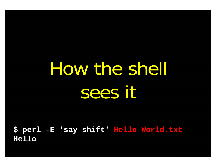#### How the shell sees it

\$ perl -E 'say shift' Hello World.txt **Hello**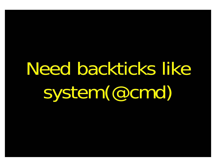# Need backticks like system(@cmd)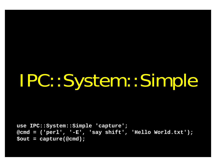#### IPC::System::Simple

**use IPC::System::Simple 'capture'; @cmd = ('perl', '-E', 'say shift', 'Hello World.txt'); \$out = capture(@cmd);**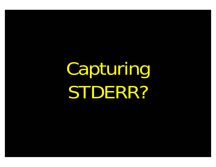### Capturing STDERR?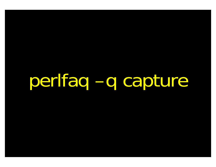perifaq -q capture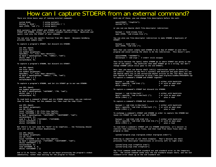#### How can I capture STDERR from an external command?

**There are three basic ways of running external commands:**

| system \$cmd;           | # using system()     |
|-------------------------|----------------------|
| $Southput = 'Scmd';$    | # using backticks (` |
| open $(PIPE, "cmd  ");$ | # using open()       |

**With system(), both STDOUT and STDERR will go the same place as the script's STDOUT and STDERR, unless the system() command redirects them. Backticks and open() read only the STDOUT of your command.**

**You can also use the open3() function from IPC::Open3. Benjamin Goldberg provides some sample code:**

**To capture a program's STDOUT, but discard its STDERR:**

**use IPC::Open3; use File::Spec; use Symbol qw(gensym); open(NULL, ">", File::Spec->devnull); my \$pid = open3(gensym, \\*PH, ">&NULL", "cmd"); while( <PH> ) { } waitpid(\$pid, 0);**

**To capture a program's STDERR, but discard its STDOUT:**

**use IPC::Open3; use File::Spec; use Symbol qw(gensym); open(NULL, ">", File::Spec->devnull); my \$pid = open3(gensym, ">&NULL", \\*PH, "cmd"); while( <PH> ) { } waitpid(\$pid, 0);**

**To capture a program's STDERR, and let its STDOUT go to our own STDERR:**

**use IPC::Open3; use Symbol qw(gensym); my \$pid = open3(gensym, ">&STDERR", \\*PH, "cmd"); while( <PH> ) { } waitpid(\$pid, 0);**

**To read both a command's STDOUT and its STDERR separately, you can redirect them to temp files, let the command run, then read the temp files:**

**use IPC::Open3; use Symbol qw(gensym); use IO::File; local \*CATCHOUT = IO::File->new\_tmpfile; local \*CATCHERR = IO::File->new\_tmpfile; my \$pid = open3(gensym, ">&CATCHOUT", ">&CATCHERR", "cmd"); waitpid(\$pid, 0); seek \$\_, 0, 0 for \\*CATCHOUT, \\*CATCHERR; while( <CATCHOUT> ) {} while( <CATCHERR> ) {}**

**But there's no real need for \*both\* to be tempfiles... the following should work just as well, without deadlocking:**

**use IPC::Open3; use Symbol qw(gensym); use IO::File; local \*CATCHERR = IO::File->new\_tmpfile; my \$pid = open3(gensym, \\*CATCHOUT, ">&CATCHERR", "cmd"); while( <CATCHOUT> ) {} waitpid(\$pid, 0); seek CATCHERR, 0, 0; while( <CATCHERR> ) {}**

**And it'll be faster, too, since we can begin processing the program's stdout**

**With any of these, you can change file descriptors before the call:**

**open(STDOUT, ">logfile"); system("ls");**

**or you can use Bourne shell file-descriptor redirection:**

**\$output = `\$cmd 2>some\_file`; open (PIPE, "cmd 2>some\_file |");**

**You can also use file-descriptor redirection to make STDERR a duplicate of** STDOUT<sup>.</sup>

**\$output = `\$cmd 2>&1`; open (PIPE, "cmd 2>&1 |");**

**Note that you cannot simply open STDERR to be a dup of STDOUT in your Perl program and avoid calling the shell to do the redirection. This doesn't work:**

**open(STDERR, ">&STDOUT"); \$alloutput <sup>=</sup>`cmd args`; # stderr still escapes**

**This fails because the open() makes STDERR go to where STDOUT was going at the time of the open(). The backticks then make STDOUT go to a string, but don't change STDERR (which still goes to the old STDOUT).**

**Note that you must use Bourne shell (sh(1)) redirection syntax in backticks, not csh(1)! Details on why Perl's system() and backtick and pipe opens all use the Bourne shell are in the versus/csh.whynot article in the "Far More Than You Ever Wanted To Know" collection in http://www.cpan.org/misc/olddoc/FMTEYEWTK.tgz To capture a command's STDERR and STDOUT together:**

**\$output = `cmd 2>&1`; # either with backticks** \$pid = open(PH, "cmd  $2>81$  |"); # or with an open pipe while (<PH>) { } # plus a read  $\#$  plus a read

**To capture a command's STDOUT but discard its STDERR:**

\$output = `cmd 2>/dev/null`; # either with backticks<br>  $\frac{1}{\pi}$  = open(PH, "cmd 2>/dev/null |"); # or with an open pipe  $$pid = open(PH, "cmd 2 > /dev/null |")$ ;<br>while  $(*PH*>)$  { } **while (<PH>) { } # plus a read**

**To capture a command's STDERR but discard its STDOUT:**

**\$output = `cmd 2>&1 1>/dev/null`; # either with backticks**  $$pid = open(PH, "cmd 2>1 1>/dev/null | "); # or with an open pipe while (*PH*>) { } # plus a read$ while  $(\langle PH \rangle) \{ \}$ 

**To exchange a command's STDOUT and STDERR in order to capture the STDERR but leave its STDOUT to come out our old STDERR:**

**\$output = `cmd 3>&1 1>&2 2>&3 3>&-`; # either with backticks**  $$pid = open(PH, "cmd 3>1 1>2 2>2 3>4-|")$ ;# or with an open pipe while  $(*PR*)$  { } **while (<PH>) { } # plus a read**

**To read both a command's STDOUT and its STDERR separately, it's easiest to redirect them separately to files, and then read from those files when the program is done:**

**system("program args 1>program.stdout 2>program.stderr");**

**Ordering is important in all these examples. That's because the shell processes file descriptor redirections in strictly left to right order.**

**system("prog args 1>tmpfile 2>&1"); system("prog args 2>&1 1>tmpfile");**

immediately, rather than waiting for the program to finish. **In the copyright of the set of the copyright of the co**<br>Standard error shows up on the old standard error shows up on the old standard eut. **The first command sends both standard out and standard error to the temporary file. The second command sends only the old standard output there, and the old standard error shows up on the old standard out.**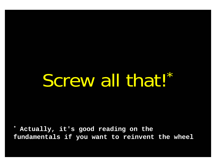#### Screw all that!\*

**\* Actually, it's good reading on the fundamentals if you want to reinvent the wheel**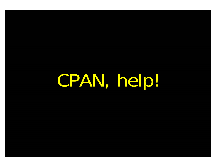CPAN, help!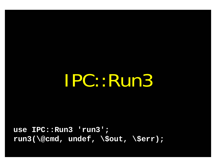IPC::Run3

**use IPC::Run3 'run3'; run3(\@cmd, undef, \\$out, \\$err);**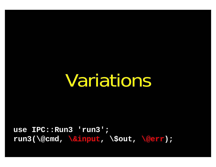Variations

**use IPC::Run3 'run3'; run3(\@cmd, \&input, \\$out, \@err);**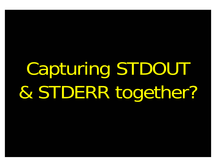# Capturing STDOUT & STDERR together?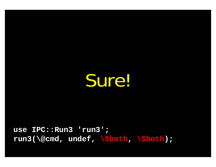Sure!

**use IPC::Run3 'run3'; run3(\@cmd, undef, \\$both, \\$both);**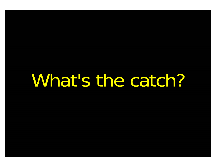What's the catch?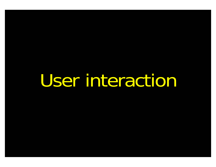User interaction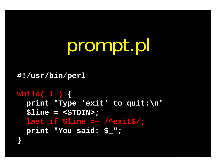#### prompt.pl

**#!/usr/bin/perl**

```
while( 1 ) {
```
**}**

**print "Type 'exit' to quit:\n" \$line = <STDIN>; last if \$line =~ /^exit\$/; print "You said: \$\_";**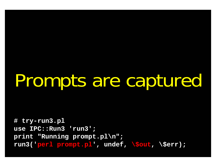#### Prompts are captured

**# try-run3.pl use IPC::Run3 'run3'; print "Running prompt.pl\n"; run3('perl prompt.pl', undef, \\$out, \\$err);**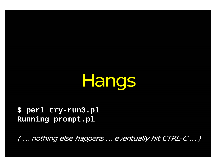Hangs

**\$ perl try-run3.pl Running prompt.pl**

( … nothing else happens … eventually hit CTRL-C … )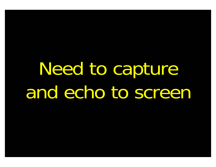#### Need to capture and echo to screen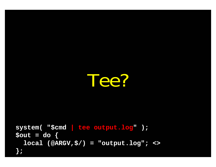

**system( "\$cmd | tee output.log" ); \$out = do { local (@ARGV,\$/) = "output.log"; <> };**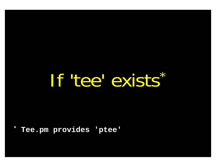If tee exists\*

Tee.pm provides 'ptee'  $\ast$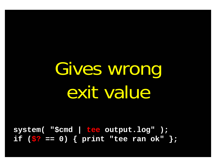#### Gives wrong exit value

**system( "\$cmd | tee output.log" ); if (\$? == 0) { print "tee ran ok" };**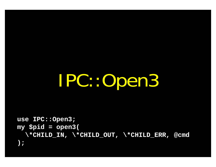IPC::Open3

```
use IPC::Open3;
my $pid = open3(
  \*CHILD_IN, \*CHILD_OUT, \*CHILD_ERR, @cmd
);
```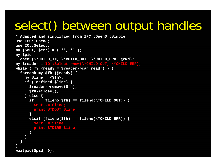#### select() between output handles

```
# Adapted and simplified from IPC::Open3::Simple
use IPC::Open3;
use IO::Select;
my ($out, $err) = ( '', '' );
my $pid =
  open3(\*CHILD_IN, \*CHILD_OUT, \*CHILD_ERR, @cmd);
my $reader = IO::Select->new(\*CHILD_OUT, \*CHILD_ERR);
while ( my @ready = $reader->can read() ) { }foreach my $fh (@ready) {
    my $line = <$fh>;
    if (!defined $line) { 
      $reader->remove($fh);
      $fh->close();
    } else {
      if (fileno($fh) == fileno(\forall<sup>*</sup>CHILD_OUT)) {
        $out .= $line;
        print STDOUT $line;
       } 
      elsif (fileno(Sfh) == fileno(\n \times \n CHILD ERR))$err .= $line
        print STDERR $line;
      }
    }
  }
}
waitpid($pid, 0);
```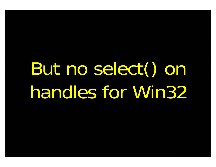# But no select() on handles for Win32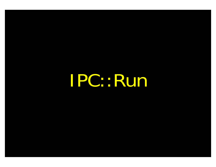IPC::Run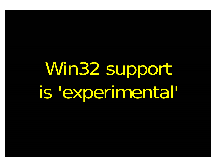# Win32 support is 'experimental'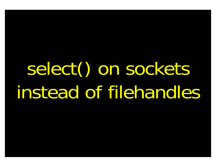# select() on sockets instead of filehandles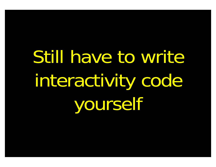Still have to write interactivity code yourself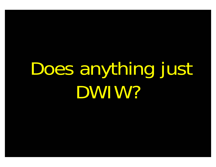## Does anything just DWIW?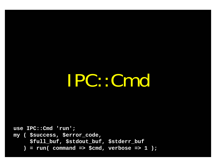IPC::Cmd

**use IPC::Cmd 'run'; my ( \$success, \$error\_code, \$full\_buf, \$stdout\_buf, \$stderr\_buf ) = run( command => \$cmd, verbose => 1 );**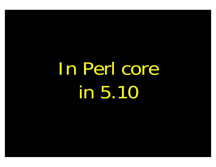# In Perl core in 5.10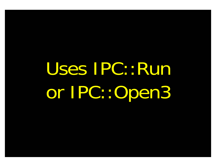# Uses IPC::Run or IPC::Open3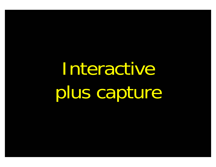Interactive plus capture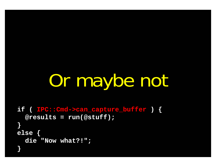# Or maybe not

```
if ( IPC::Cmd->can_capture_buffer ) {
  @results = run(@stuff);
}
else {
 die "Now what?!";
}
```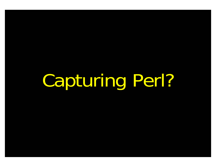Capturing Perl?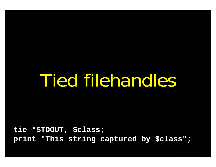### Tied filehandles

**tie \*STDOUT, \$class; print "This string captured by \$class";**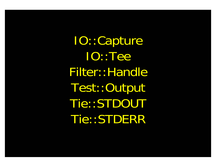IO::Capture IO::TeeFilter::Handle Test::Output Tie::STDOUT Tie::STDERR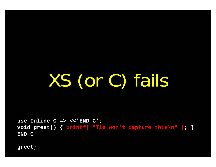XS (or C) fails

**use Inline C => <<'END\_C'; void greet() { printf( "Tie won't capture this\n" ); } END\_C**

**greet;**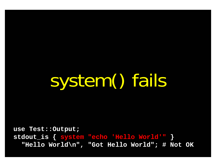system() fails

**use Test::Output; stdout\_is { system "echo 'Hello World'" } "Hello World\n", "Got Hello World"; # Not OK**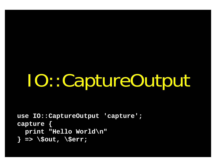# IO::CaptureOutput

```
use IO::CaptureOutput 'capture';
capture { 
  print "Hello World\n" 
} => \$out, \$err;
```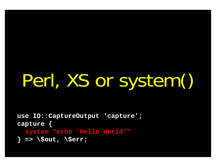# Perl, XS or system()

**use IO::CaptureOutput 'capture'; capture { system "echo 'Hello World'" } => \\$out, \\$err;**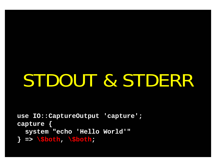### STDOUT & STDERR

**use IO::CaptureOutput 'capture'; capture { system "echo 'Hello World'" } => \\$both, \\$both;**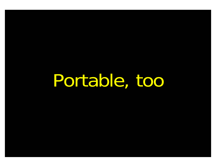Portable, too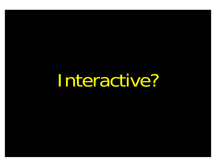Interactive?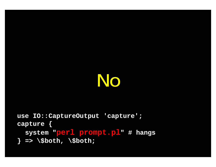### No

```
use IO::CaptureOutput 'capture';
capture { 
 system "perl prompt.pl" # hangs
} => \$both, \$both;
```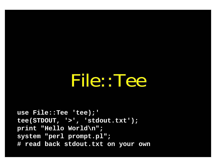#### File::Tee

**use File::Tee 'tee);' tee(STDOUT, '>', 'stdout.txt'); print "Hello World\n"; system "perl prompt.pl"; # read back stdout.txt on your own**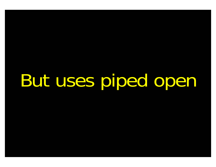But uses piped open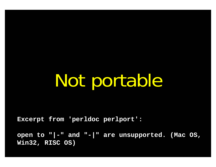## Not portable

**Excerpt from 'perldoc perlport':**

**open to "|-" and "-|" are unsupported. (Mac OS, Win32, RISC OS)**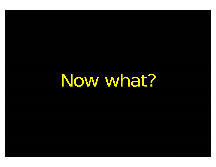Now what?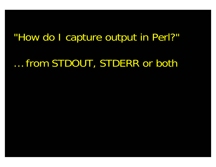### "How do I capture output in Perl?" … from STDOUT, STDERR or both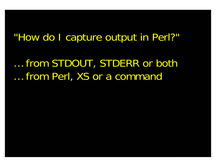… from STDOUT, STDERR or both … from Perl, XS or a command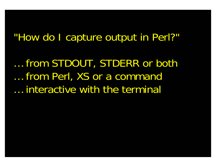… from STDOUT, STDERR or both … from Perl, XS or a command … interactive with the terminal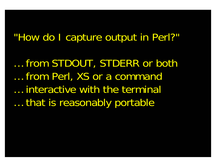… from STDOUT, STDERR or both … from Perl, XS or a command … interactive with the terminal … that is reasonably portable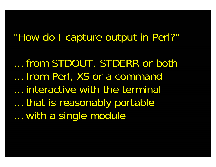… from STDOUT, STDERR or both … from Perl, XS or a command … interactive with the terminal … that is reasonably portable … with a single module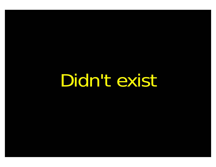Didn't exist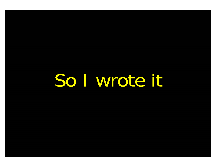So I wrote it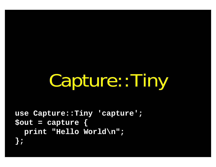# Capture::Tiny

**use Capture::Tiny 'capture'; \$out = capture { print "Hello World\n"; };**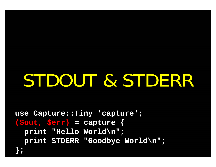## STDOUT & STDERR

**use Capture::Tiny 'capture'; (\$out, \$err) = capture { print "Hello World\n"; print STDERR "Goodbye World\n";**

**};**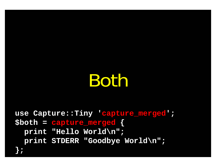### Both

**use Capture::Tiny 'capture\_merged'; \$both = capture\_merged { print "Hello World\n"; print STDERR "Goodbye World\n";**

**};**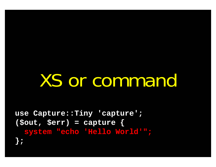## XS or command

use Capture::Tiny 'capture';  $(sout, serr) = capture$ system "echo 'Hello World'";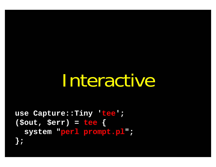### Interactive

```
use Capture::Tiny 'tee';
(sout, serr) = teesystem "perl prompt.pl";
```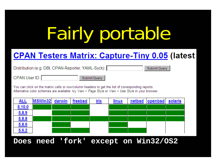# Fairly portable

### **CPAN Testers Matrix: Capture-Tiny 0.05 (latest**

Distribution (e.g. DBI, CPAN-Reporter, YAML-Syck): ||

Submit Query

CPAN User ID:

Submit Query

You can click on the matrix cells or row/column headers to get the list of corresponding reports. Alternative color schemes are available: try View > Page Style or View > Use Style in your browser.

| <u>ALL</u>   | MSWin32 darwin freebsd |  | irix | linux | netbsd openbsd | solaris |
|--------------|------------------------|--|------|-------|----------------|---------|
| 5.10.0       |                        |  |      |       |                |         |
| 6.8.9        |                        |  |      |       |                |         |
| <u>5.8.8</u> |                        |  |      |       |                |         |
| 6.86         |                        |  |      |       |                |         |
| 5.6.2        |                        |  |      |       |                |         |

#### **Does need 'fork' except on Win32/OS2**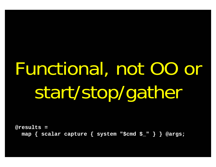## Functional, not OO or start/stop/gather

**@results = map { scalar capture { system "\$cmd \$\_" } } @args;**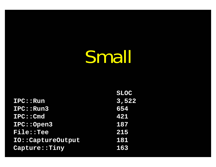## Small

|                    | <b>SLOC</b> |
|--------------------|-------------|
| <b>IPC::Run</b>    | 3,522       |
| IPC::Run3          | 654         |
| IPC: Cmd           | 421         |
| IPC:: Open3        | 187         |
| <b>File::Tee</b>   | 215         |
| IO:: CaptureOutput | 181         |
| Capture: : Tiny    | 163         |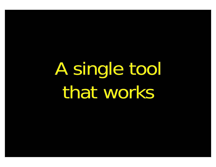A single tool that works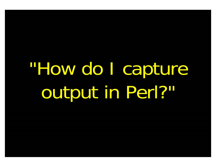## "How do I capture output in Perl?"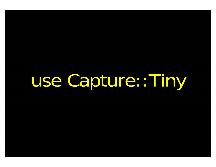use Capture::Tiny